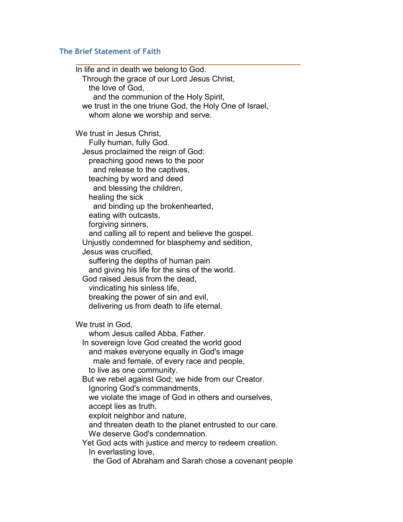## **The Brief Statement of Faith**

In life and in death we belong to God. Through the grace of our Lord Jesus Christ, the love of God, and the communion of the Holy Spirit, we trust in the one triune God, the Holy One of Israel, whom alone we worship and serve. We trust in Jesus Christ, Fully human, fully God. Jesus proclaimed the reign of God: preaching good news to the poor and release to the captives, teaching by word and deed and blessing the children, healing the sick and binding up the brokenhearted, eating with outcasts, forgiving sinners, and calling all to repent and believe the gospel. Unjustly condemned for blasphemy and sedition, Jesus was crucified, suffering the depths of human pain and giving his life for the sins of the world. God raised Jesus from the dead, vindicating his sinless life, breaking the power of sin and evil, delivering us from death to life eternal. We trust in God, whom Jesus called Abba, Father. In sovereign love God created the world good and makes everyone equally in God's image male and female, of every race and people, to live as one community. But we rebel against God; we hide from our Creator. Ignoring God's commandments, we violate the image of God in others and ourselves, accept lies as truth, exploit neighbor and nature, and threaten death to the planet entrusted to our care. We deserve God's condemnation. Yet God acts with justice and mercy to redeem creation. In everlasting love, the God of Abraham and Sarah chose a covenant people